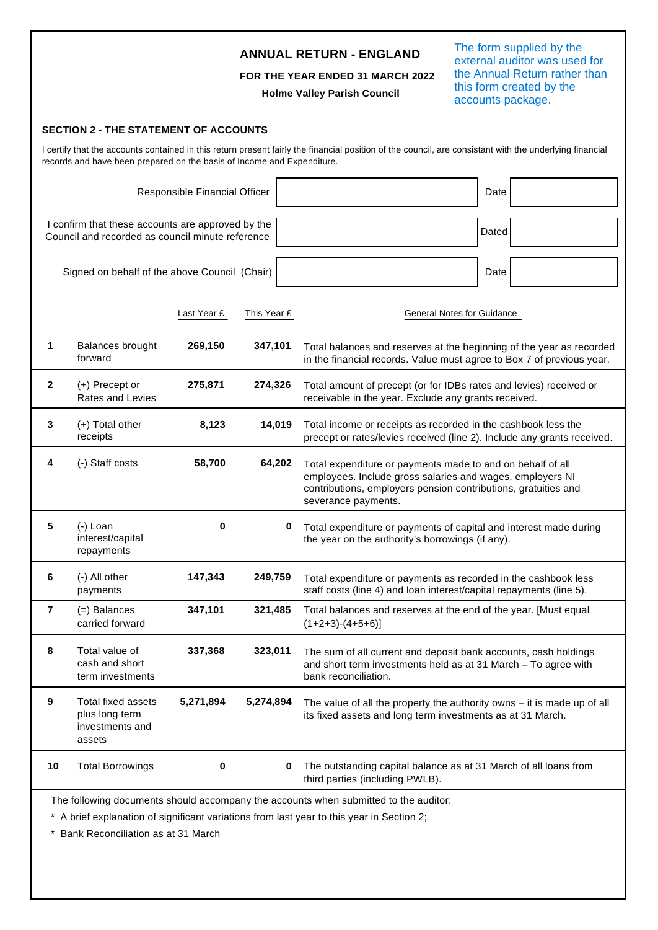|                |                                                                                                       |                               |             | <b>ANNUAL RETURN - ENGLAND</b><br>FOR THE YEAR ENDED 31 MARCH 2022<br><b>Holme Valley Parish Council</b>                                                                                                         | The form supplied by the<br>external auditor was used for<br>the Annual Return rather than<br>this form created by the<br>accounts package.             |  |  |
|----------------|-------------------------------------------------------------------------------------------------------|-------------------------------|-------------|------------------------------------------------------------------------------------------------------------------------------------------------------------------------------------------------------------------|---------------------------------------------------------------------------------------------------------------------------------------------------------|--|--|
|                | <b>SECTION 2 - THE STATEMENT OF ACCOUNTS</b>                                                          |                               |             |                                                                                                                                                                                                                  |                                                                                                                                                         |  |  |
|                | records and have been prepared on the basis of Income and Expenditure.                                |                               |             |                                                                                                                                                                                                                  | I certify that the accounts contained in this return present fairly the financial position of the council, are consistant with the underlying financial |  |  |
|                |                                                                                                       | Responsible Financial Officer |             |                                                                                                                                                                                                                  | Date                                                                                                                                                    |  |  |
|                | I confirm that these accounts are approved by the<br>Council and recorded as council minute reference |                               |             |                                                                                                                                                                                                                  | Dated                                                                                                                                                   |  |  |
|                | Signed on behalf of the above Council (Chair)                                                         |                               |             |                                                                                                                                                                                                                  | Date                                                                                                                                                    |  |  |
|                |                                                                                                       | Last Year £                   | This Year £ |                                                                                                                                                                                                                  | General Notes for Guidance                                                                                                                              |  |  |
| 1              | <b>Balances brought</b><br>forward                                                                    | 269,150                       | 347,101     |                                                                                                                                                                                                                  | Total balances and reserves at the beginning of the year as recorded<br>in the financial records. Value must agree to Box 7 of previous year.           |  |  |
| $\mathbf{2}$   | (+) Precept or<br><b>Rates and Levies</b>                                                             | 275,871                       | 274,326     | receivable in the year. Exclude any grants received.                                                                                                                                                             | Total amount of precept (or for IDBs rates and levies) received or                                                                                      |  |  |
| 3              | (+) Total other<br>receipts                                                                           | 8,123                         | 14,019      | Total income or receipts as recorded in the cashbook less the<br>precept or rates/levies received (line 2). Include any grants received.                                                                         |                                                                                                                                                         |  |  |
| 4              | (-) Staff costs                                                                                       | 58,700                        | 64,202      | Total expenditure or payments made to and on behalf of all<br>employees. Include gross salaries and wages, employers NI<br>contributions, employers pension contributions, gratuities and<br>severance payments. |                                                                                                                                                         |  |  |
| 5              | (-) Loan<br>interest/capital<br>repayments                                                            | 0                             |             | the year on the authority's borrowings (if any).                                                                                                                                                                 | Total expenditure or payments of capital and interest made during                                                                                       |  |  |
| 6              | (-) All other<br>payments                                                                             | 147,343                       | 249,759     |                                                                                                                                                                                                                  | Total expenditure or payments as recorded in the cashbook less<br>staff costs (line 4) and loan interest/capital repayments (line 5).                   |  |  |
| $\overline{7}$ | (=) Balances<br>carried forward                                                                       | 347,101                       | 321,485     | $(1+2+3)-(4+5+6)]$                                                                                                                                                                                               | Total balances and reserves at the end of the year. [Must equal                                                                                         |  |  |
| 8              | Total value of<br>cash and short<br>term investments                                                  | 337,368                       | 323,011     | bank reconciliation.                                                                                                                                                                                             | The sum of all current and deposit bank accounts, cash holdings<br>and short term investments held as at 31 March - To agree with                       |  |  |
| 9              | <b>Total fixed assets</b><br>plus long term<br>investments and<br>assets                              | 5,271,894                     | 5,274,894   | its fixed assets and long term investments as at 31 March.                                                                                                                                                       | The value of all the property the authority owns $-$ it is made up of all                                                                               |  |  |
| 10             | <b>Total Borrowings</b>                                                                               | 0                             | 0           | third parties (including PWLB).                                                                                                                                                                                  | The outstanding capital balance as at 31 March of all loans from                                                                                        |  |  |
|                |                                                                                                       |                               |             | The following documents should accompany the accounts when submitted to the auditor:<br>* A brief explanation of significant variations from last year to this year in Section 2;                                |                                                                                                                                                         |  |  |

\* Bank Reconciliation as at 31 March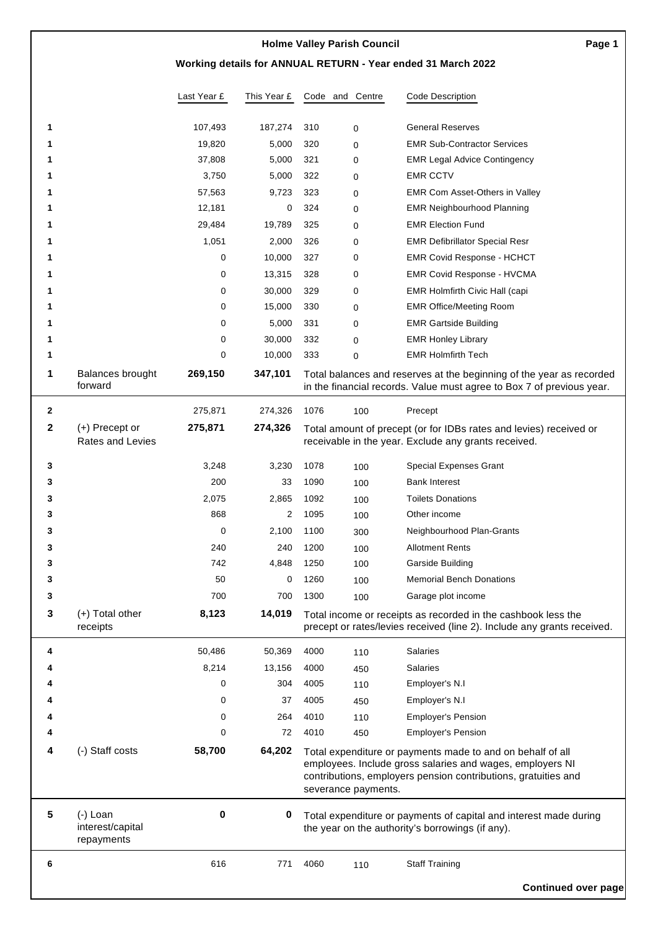## **Working details for ANNUAL RETURN - Year ended 31 March 2022**

|              |                                              | Last Year £ | This Year £ |      | Code and Centre     | Code Description                                                                                                                              |
|--------------|----------------------------------------------|-------------|-------------|------|---------------------|-----------------------------------------------------------------------------------------------------------------------------------------------|
| 1            |                                              | 107,493     | 187,274     | 310  | $\Omega$            | <b>General Reserves</b>                                                                                                                       |
|              |                                              | 19,820      | 5,000       | 320  | 0                   | <b>EMR Sub-Contractor Services</b>                                                                                                            |
|              |                                              | 37,808      | 5,000       | 321  | 0                   | <b>EMR Legal Advice Contingency</b>                                                                                                           |
|              |                                              | 3,750       | 5,000       | 322  | 0                   | <b>EMR CCTV</b>                                                                                                                               |
|              |                                              | 57,563      | 9,723       | 323  | $\Omega$            | EMR Com Asset-Others in Valley                                                                                                                |
|              |                                              | 12,181      | 0           | 324  | 0                   | <b>EMR Neighbourhood Planning</b>                                                                                                             |
|              |                                              | 29,484      | 19,789      | 325  | 0                   | <b>EMR Election Fund</b>                                                                                                                      |
|              |                                              | 1,051       | 2,000       | 326  | 0                   | <b>EMR Defibrillator Special Resr</b>                                                                                                         |
|              |                                              | 0           | 10,000      | 327  | 0                   | <b>EMR Covid Response - HCHCT</b>                                                                                                             |
|              |                                              | 0           | 13,315      | 328  | 0                   | <b>EMR Covid Response - HVCMA</b>                                                                                                             |
|              |                                              | 0           | 30,000      | 329  | 0                   | EMR Holmfirth Civic Hall (capi                                                                                                                |
|              |                                              | 0           | 15,000      | 330  | 0                   | <b>EMR Office/Meeting Room</b>                                                                                                                |
|              |                                              | 0           | 5,000       | 331  | 0                   | <b>EMR Gartside Building</b>                                                                                                                  |
|              |                                              | 0           | 30,000      | 332  | 0                   | <b>EMR Honley Library</b>                                                                                                                     |
| 1            |                                              | 0           | 10,000      | 333  | $\Omega$            | <b>EMR Holmfirth Tech</b>                                                                                                                     |
| 1            | Balances brought<br>forward                  | 269,150     | 347,101     |      |                     | Total balances and reserves at the beginning of the year as recorded<br>in the financial records. Value must agree to Box 7 of previous year. |
| $\mathbf{2}$ |                                              | 275,871     | 274,326     | 1076 | 100                 | Precept                                                                                                                                       |
| 2            | $(+)$ Precept or                             | 275,871     | 274,326     |      |                     | Total amount of precept (or for IDBs rates and levies) received or                                                                            |
|              | <b>Rates and Levies</b>                      |             |             |      |                     | receivable in the year. Exclude any grants received.                                                                                          |
| 3            |                                              | 3,248       | 3,230       | 1078 | 100                 | <b>Special Expenses Grant</b>                                                                                                                 |
| 3            |                                              | 200         | 33          | 1090 | 100                 | <b>Bank Interest</b>                                                                                                                          |
| 3            |                                              | 2,075       | 2,865       | 1092 | 100                 | <b>Toilets Donations</b>                                                                                                                      |
| з            |                                              | 868         | 2           | 1095 | 100                 | Other income                                                                                                                                  |
| 3            |                                              | 0           | 2,100       | 1100 | 300                 | Neighbourhood Plan-Grants                                                                                                                     |
| з            |                                              | 240         | 240         | 1200 | 100                 | <b>Allotment Rents</b>                                                                                                                        |
| 3            |                                              | 742         | 4,848       | 1250 | 100                 | Garside Building                                                                                                                              |
| 3            |                                              | 50          | 0           | 1260 | 100                 | <b>Memorial Bench Donations</b>                                                                                                               |
| 3            |                                              | 700         | 700         | 1300 | 100                 | Garage plot income                                                                                                                            |
| 3            | (+) Total other                              | 8,123       | 14,019      |      |                     | Total income or receipts as recorded in the cashbook less the                                                                                 |
|              | receipts                                     |             |             |      |                     | precept or rates/levies received (line 2). Include any grants received.                                                                       |
| 4            |                                              | 50,486      | 50,369      | 4000 | 110                 | <b>Salaries</b>                                                                                                                               |
|              |                                              | 8,214       | 13,156      | 4000 | 450                 | <b>Salaries</b>                                                                                                                               |
|              |                                              | 0           | 304         | 4005 | 110                 | Employer's N.I                                                                                                                                |
|              |                                              | 0           | 37          | 4005 | 450                 | Employer's N.I                                                                                                                                |
|              |                                              | 0           | 264         | 4010 | 110                 | <b>Employer's Pension</b>                                                                                                                     |
|              |                                              | 0           | 72          | 4010 | 450                 | <b>Employer's Pension</b>                                                                                                                     |
| 4            | (-) Staff costs                              | 58,700      | 64,202      |      |                     | Total expenditure or payments made to and on behalf of all                                                                                    |
|              |                                              |             |             |      | severance payments. | employees. Include gross salaries and wages, employers NI<br>contributions, employers pension contributions, gratuities and                   |
| ${\bf 5}$    | $(-)$ Loan<br>interest/capital<br>repayments | 0           | 0           |      |                     | Total expenditure or payments of capital and interest made during<br>the year on the authority's borrowings (if any).                         |
| 6            |                                              | 616         | 771         | 4060 | 110                 | <b>Staff Training</b><br><b>Continued over page</b>                                                                                           |
|              |                                              |             |             |      |                     |                                                                                                                                               |

**Page 1**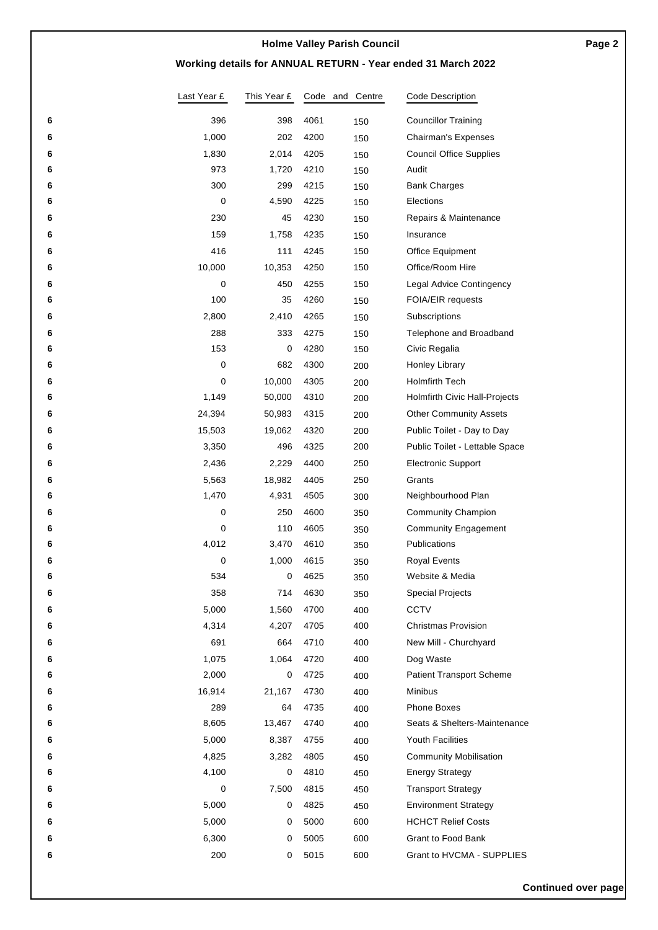## **Working details for ANNUAL RETURN - Year ended 31 March 2022**

|        | Last Year £ | This Year £      |              | Code and Centre | Code Description                                |
|--------|-------------|------------------|--------------|-----------------|-------------------------------------------------|
| 6      | 396         | 398              | 4061         | 150             | <b>Councillor Training</b>                      |
| 6      | 1,000       | 202              | 4200         | 150             | Chairman's Expenses                             |
| 6      | 1,830       | 2,014            | 4205         | 150             | <b>Council Office Supplies</b>                  |
| 6      | 973         | 1,720            | 4210         | 150             | Audit                                           |
| 6      | 300         | 299              | 4215         | 150             | <b>Bank Charges</b>                             |
| 6      | 0           | 4,590            | 4225         | 150             | Elections                                       |
| 6      | 230         | 45               | 4230         | 150             | Repairs & Maintenance                           |
| 6      | 159         | 1,758            | 4235         | 150             | Insurance                                       |
| 6      | 416         | 111              | 4245         | 150             | Office Equipment                                |
| 6      | 10,000      | 10,353           | 4250         | 150             | Office/Room Hire                                |
| 6      | 0           | 450              | 4255         | 150             | Legal Advice Contingency                        |
| 6      | 100         | 35               | 4260         | 150             | <b>FOIA/EIR requests</b>                        |
| 6      | 2,800       | 2,410            | 4265         | 150             | Subscriptions                                   |
| 6      | 288         | 333              | 4275         | 150             | Telephone and Broadband                         |
| 6      | 153         | 0                | 4280         | 150             | Civic Regalia                                   |
| 6      | 0           | 682              | 4300         | 200             | Honley Library                                  |
| 6<br>6 | 0<br>1,149  | 10,000<br>50,000 | 4305<br>4310 | 200             | Holmfirth Tech<br>Holmfirth Civic Hall-Projects |
| 6      | 24,394      | 50,983           | 4315         | 200             | <b>Other Community Assets</b>                   |
| 6      | 15,503      | 19,062           | 4320         | 200<br>200      | Public Toilet - Day to Day                      |
| 6      | 3,350       | 496              | 4325         | 200             | Public Toilet - Lettable Space                  |
| 6      | 2,436       | 2,229            | 4400         | 250             | <b>Electronic Support</b>                       |
| 6      | 5,563       | 18,982           | 4405         | 250             | Grants                                          |
| 6      | 1,470       | 4,931            | 4505         | 300             | Neighbourhood Plan                              |
| 6      | 0           | 250              | 4600         | 350             | <b>Community Champion</b>                       |
| 6      | 0           | 110              | 4605         | 350             | <b>Community Engagement</b>                     |
| 6      | 4,012       | 3,470            | 4610         | 350             | Publications                                    |
| 6      | 0           | 1,000            | 4615         | 350             | Royal Events                                    |
| 6      | 534         | 0                | 4625         | 350             | Website & Media                                 |
| 6      | 358         | 714              | 4630         | 350             | <b>Special Projects</b>                         |
| 6      | 5,000       | 1,560            | 4700         | 400             | <b>CCTV</b>                                     |
| 6      | 4,314       | 4,207            | 4705         | 400             | Christmas Provision                             |
| 6      | 691         | 664              | 4710         | 400             | New Mill - Churchyard                           |
| 6      | 1,075       | 1,064            | 4720         | 400             | Dog Waste                                       |
| 6      | 2,000       | 0                | 4725         | 400             | <b>Patient Transport Scheme</b>                 |
| 6      | 16,914      | 21,167           | 4730         | 400             | Minibus                                         |
| 6      | 289         | 64               | 4735         | 400             | Phone Boxes                                     |
| 6      | 8,605       | 13,467           | 4740         | 400             | Seats & Shelters-Maintenance                    |
| 6      | 5,000       | 8,387            | 4755         | 400             | <b>Youth Facilities</b>                         |
| 6      | 4,825       | 3,282            | 4805         | 450             | <b>Community Mobilisation</b>                   |
| 6      | 4,100       | 0                | 4810         | 450             | <b>Energy Strategy</b>                          |
| 6      | 0           | 7,500            | 4815         | 450             | <b>Transport Strategy</b>                       |
| 6      | 5,000       | 0                | 4825         | 450             | <b>Environment Strategy</b>                     |
| 6      | 5,000       | 0                | 5000         | 600             | <b>HCHCT Relief Costs</b>                       |
| 6      | 6,300       | 0                | 5005         | 600             | <b>Grant to Food Bank</b>                       |
| 6      | 200         | 0                | 5015         | 600             | Grant to HVCMA - SUPPLIES                       |

**Continued over page**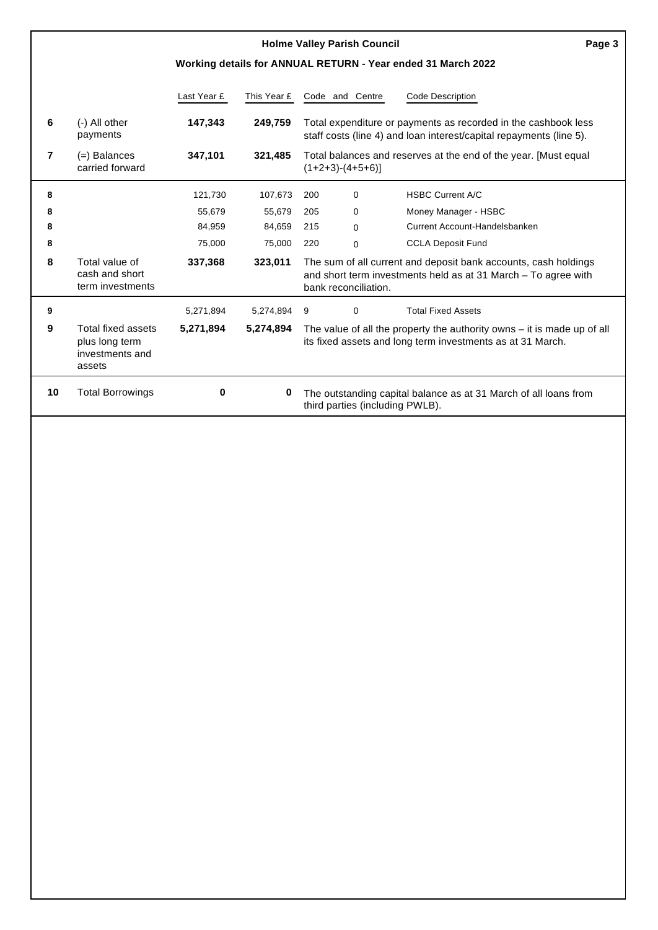| <b>Holme Valley Parish Council</b><br>Page 3 |                                                                          |             |             |                                                                                                                                         |                      |                                                                                                                                       |  |  |
|----------------------------------------------|--------------------------------------------------------------------------|-------------|-------------|-----------------------------------------------------------------------------------------------------------------------------------------|----------------------|---------------------------------------------------------------------------------------------------------------------------------------|--|--|
|                                              |                                                                          |             |             |                                                                                                                                         |                      | Working details for ANNUAL RETURN - Year ended 31 March 2022                                                                          |  |  |
|                                              |                                                                          | Last Year £ | This Year £ |                                                                                                                                         | Code and Centre      | <b>Code Description</b>                                                                                                               |  |  |
| 6                                            | (-) All other<br>payments                                                | 147,343     | 249,759     |                                                                                                                                         |                      | Total expenditure or payments as recorded in the cashbook less<br>staff costs (line 4) and loan interest/capital repayments (line 5). |  |  |
| 7                                            | $(=)$ Balances<br>carried forward                                        | 347,101     | 321,485     | Total balances and reserves at the end of the year. [Must equal<br>$(1+2+3)-(4+5+6)$ ]                                                  |                      |                                                                                                                                       |  |  |
| 8                                            |                                                                          | 121,730     | 107,673     | 200                                                                                                                                     | $\Omega$             | <b>HSBC Current A/C</b>                                                                                                               |  |  |
| 8                                            |                                                                          | 55,679      | 55,679      | 205                                                                                                                                     | 0                    | Money Manager - HSBC                                                                                                                  |  |  |
| 8                                            |                                                                          | 84,959      | 84,659      | 215                                                                                                                                     | $\Omega$             | Current Account-Handelsbanken                                                                                                         |  |  |
| 8                                            |                                                                          | 75,000      | 75,000      | 220                                                                                                                                     | $\Omega$             | <b>CCLA Deposit Fund</b>                                                                                                              |  |  |
| 8                                            | Total value of<br>cash and short<br>term investments                     | 337,368     | 323,011     |                                                                                                                                         | bank reconciliation. | The sum of all current and deposit bank accounts, cash holdings<br>and short term investments held as at 31 March - To agree with     |  |  |
| 9                                            |                                                                          | 5,271,894   | 5,274,894   | 9                                                                                                                                       | 0                    | <b>Total Fixed Assets</b>                                                                                                             |  |  |
| 9                                            | <b>Total fixed assets</b><br>plus long term<br>investments and<br>assets | 5,271,894   | 5,274,894   | The value of all the property the authority owns $-$ it is made up of all<br>its fixed assets and long term investments as at 31 March. |                      |                                                                                                                                       |  |  |
| 10                                           | <b>Total Borrowings</b>                                                  | 0           | 0           | The outstanding capital balance as at 31 March of all loans from<br>third parties (including PWLB).                                     |                      |                                                                                                                                       |  |  |
|                                              |                                                                          |             |             |                                                                                                                                         |                      |                                                                                                                                       |  |  |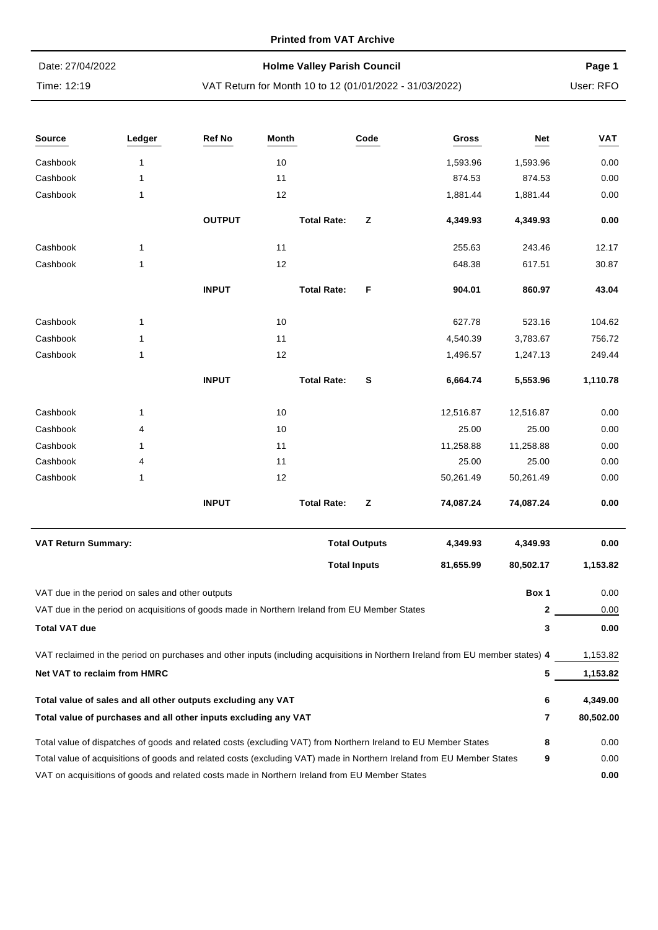#### **Printed from VAT Archive**

| Date: 27/04/2022 | <b>Holme Valley Parish Council</b>                      | Page 1    |
|------------------|---------------------------------------------------------|-----------|
| Time: 12:19      | VAT Return for Month 10 to 12 (01/01/2022 - 31/03/2022) | User: RFO |

| Source                                                                                        | Ledger                                                                                        | Ref No        | Month |                    | Code                 | Gross                                                                                                                          | Net       | <b>VAT</b> |
|-----------------------------------------------------------------------------------------------|-----------------------------------------------------------------------------------------------|---------------|-------|--------------------|----------------------|--------------------------------------------------------------------------------------------------------------------------------|-----------|------------|
| Cashbook                                                                                      | 1                                                                                             |               | 10    |                    |                      | 1,593.96                                                                                                                       | 1,593.96  | 0.00       |
| Cashbook                                                                                      | 1                                                                                             |               | 11    |                    |                      | 874.53                                                                                                                         | 874.53    | 0.00       |
| Cashbook                                                                                      | 1                                                                                             |               | 12    |                    |                      | 1,881.44                                                                                                                       | 1,881.44  | 0.00       |
|                                                                                               |                                                                                               | <b>OUTPUT</b> |       | <b>Total Rate:</b> | z                    | 4,349.93                                                                                                                       | 4,349.93  | 0.00       |
| Cashbook                                                                                      | 1                                                                                             |               | 11    |                    |                      | 255.63                                                                                                                         | 243.46    | 12.17      |
| Cashbook                                                                                      | 1                                                                                             |               | 12    |                    |                      | 648.38                                                                                                                         | 617.51    | 30.87      |
|                                                                                               |                                                                                               | <b>INPUT</b>  |       | <b>Total Rate:</b> | F                    | 904.01                                                                                                                         | 860.97    | 43.04      |
| Cashbook                                                                                      | 1                                                                                             |               | 10    |                    |                      | 627.78                                                                                                                         | 523.16    | 104.62     |
| Cashbook                                                                                      | 1                                                                                             |               | 11    |                    |                      | 4,540.39                                                                                                                       | 3,783.67  | 756.72     |
| Cashbook                                                                                      | 1                                                                                             |               | 12    |                    |                      | 1,496.57                                                                                                                       | 1,247.13  | 249.44     |
|                                                                                               |                                                                                               | <b>INPUT</b>  |       | <b>Total Rate:</b> | S                    | 6,664.74                                                                                                                       | 5,553.96  | 1,110.78   |
| Cashbook                                                                                      | 1                                                                                             |               | 10    |                    |                      | 12,516.87                                                                                                                      | 12,516.87 | 0.00       |
| Cashbook                                                                                      | 4                                                                                             |               | 10    |                    |                      | 25.00                                                                                                                          | 25.00     | 0.00       |
| Cashbook                                                                                      | 1                                                                                             |               | 11    |                    |                      | 11,258.88                                                                                                                      | 11,258.88 | 0.00       |
| Cashbook                                                                                      | 4                                                                                             |               | 11    |                    |                      | 25.00                                                                                                                          | 25.00     | 0.00       |
| Cashbook                                                                                      | 1                                                                                             |               | 12    |                    |                      | 50,261.49                                                                                                                      | 50,261.49 | 0.00       |
|                                                                                               |                                                                                               | <b>INPUT</b>  |       | <b>Total Rate:</b> | z                    | 74,087.24                                                                                                                      | 74,087.24 | 0.00       |
| <b>VAT Return Summary:</b>                                                                    |                                                                                               |               |       |                    | <b>Total Outputs</b> | 4,349.93                                                                                                                       | 4,349.93  | 0.00       |
|                                                                                               |                                                                                               |               |       |                    | <b>Total Inputs</b>  | 81,655.99                                                                                                                      | 80,502.17 | 1,153.82   |
|                                                                                               | VAT due in the period on sales and other outputs                                              |               |       |                    |                      |                                                                                                                                | Box 1     | 0.00       |
|                                                                                               | VAT due in the period on acquisitions of goods made in Northern Ireland from EU Member States |               |       |                    |                      |                                                                                                                                | 2         | 0.00       |
| <b>Total VAT due</b>                                                                          |                                                                                               |               |       |                    |                      |                                                                                                                                | 3         | 0.00       |
|                                                                                               |                                                                                               |               |       |                    |                      | VAT reclaimed in the period on purchases and other inputs (including acquisitions in Northern Ireland from EU member states) 4 |           | 1,153.82   |
| <b>Net VAT to reclaim from HMRC</b>                                                           |                                                                                               |               |       |                    |                      |                                                                                                                                | 5         | 1,153.82   |
|                                                                                               | Total value of sales and all other outputs excluding any VAT                                  |               |       |                    |                      |                                                                                                                                | 6         | 4,349.00   |
|                                                                                               | Total value of purchases and all other inputs excluding any VAT                               |               |       |                    |                      |                                                                                                                                | 7         | 80,502.00  |
|                                                                                               |                                                                                               |               |       |                    |                      | Total value of dispatches of goods and related costs (excluding VAT) from Northern Ireland to EU Member States                 | 8         | 0.00       |
|                                                                                               |                                                                                               |               |       |                    |                      | Total value of acquisitions of goods and related costs (excluding VAT) made in Northern Ireland from EU Member States          | 9         | 0.00       |
| VAT on acquisitions of goods and related costs made in Northern Ireland from EU Member States |                                                                                               |               |       |                    |                      |                                                                                                                                |           | 0.00       |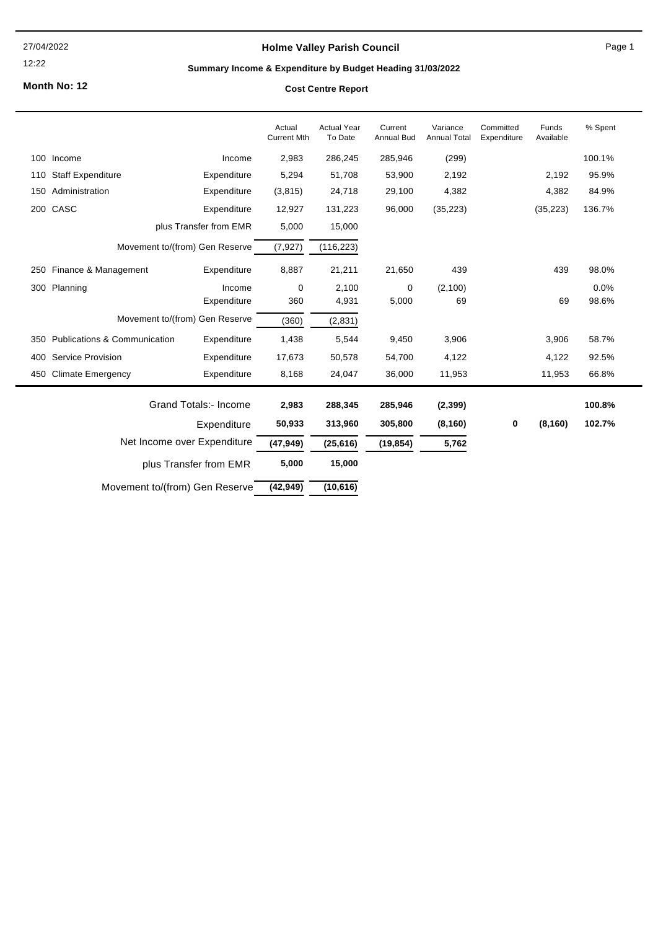27/04/2022

#### 12:22

## **Holme Valley Parish Council**

Page 1

## **Summary Income & Expenditure by Budget Heading 31/03/2022**

**Month No: 12**

#### **Cost Centre Report**

|     |                                         |                              | Actual<br><b>Current Mth</b> | <b>Actual Year</b><br>To Date | Current<br><b>Annual Bud</b> | Variance<br><b>Annual Total</b> | Committed<br>Expenditure | Funds<br>Available | % Spent |
|-----|-----------------------------------------|------------------------------|------------------------------|-------------------------------|------------------------------|---------------------------------|--------------------------|--------------------|---------|
| 100 | Income                                  | Income                       | 2,983                        | 286,245                       | 285,946                      | (299)                           |                          |                    | 100.1%  |
| 110 | <b>Staff Expenditure</b>                | Expenditure                  | 5,294                        | 51,708                        | 53,900                       | 2,192                           |                          | 2,192              | 95.9%   |
| 150 | Administration                          | Expenditure                  | (3,815)                      | 24,718                        | 29,100                       | 4,382                           |                          | 4,382              | 84.9%   |
| 200 | CASC                                    | Expenditure                  | 12,927                       | 131,223                       | 96,000                       | (35, 223)                       |                          | (35, 223)          | 136.7%  |
|     |                                         | plus Transfer from EMR       | 5,000                        | 15,000                        |                              |                                 |                          |                    |         |
|     | Movement to/(from) Gen Reserve          |                              | (7, 927)                     | (116, 223)                    |                              |                                 |                          |                    |         |
| 250 | Finance & Management                    | Expenditure                  | 8,887                        | 21,211                        | 21,650                       | 439                             |                          | 439                | 98.0%   |
|     | 300 Planning                            | Income                       | $\mathbf 0$                  | 2,100                         | $\mathbf 0$                  | (2,100)                         |                          |                    | 0.0%    |
|     |                                         | Expenditure                  | 360                          | 4,931                         | 5,000                        | 69                              |                          | 69                 | 98.6%   |
|     | Movement to/(from) Gen Reserve          |                              | (360)                        | (2,831)                       |                              |                                 |                          |                    |         |
| 350 | <b>Publications &amp; Communication</b> | Expenditure                  | 1,438                        | 5,544                         | 9,450                        | 3,906                           |                          | 3,906              | 58.7%   |
| 400 | <b>Service Provision</b>                | Expenditure                  | 17,673                       | 50,578                        | 54,700                       | 4,122                           |                          | 4,122              | 92.5%   |
| 450 | <b>Climate Emergency</b>                | Expenditure                  | 8,168                        | 24,047                        | 36,000                       | 11,953                          |                          | 11,953             | 66.8%   |
|     |                                         | <b>Grand Totals:- Income</b> | 2,983                        | 288,345                       | 285,946                      | (2, 399)                        |                          |                    | 100.8%  |
|     |                                         | Expenditure                  | 50,933                       | 313,960                       | 305,800                      | (8, 160)                        | 0                        | (8, 160)           | 102.7%  |
|     | Net Income over Expenditure             |                              | (47, 949)                    | (25, 616)                     | (19, 854)                    | 5,762                           |                          |                    |         |
|     |                                         | plus Transfer from EMR       | 5,000                        | 15,000                        |                              |                                 |                          |                    |         |
|     | Movement to/(from) Gen Reserve          |                              | (42, 949)                    | (10, 616)                     |                              |                                 |                          |                    |         |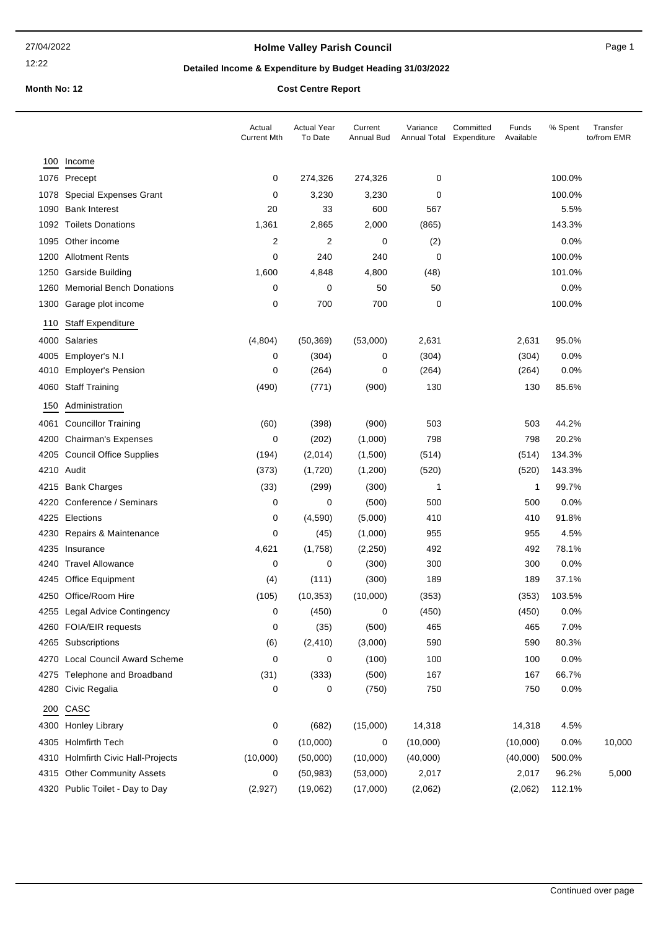12:22

## **Holme Valley Parish Council Canadian Council** Page 1

## **Detailed Income & Expenditure by Budget Heading 31/03/2022**

#### **Month No: 12 Cost Centre Report**

|      |                                    | Actual<br><b>Current Mth</b> | <b>Actual Year</b><br>To Date | Current<br>Annual Bud | Variance<br>Annual Total Expenditure | Committed | Funds<br>Available | % Spent | Transfer<br>to/from EMR |
|------|------------------------------------|------------------------------|-------------------------------|-----------------------|--------------------------------------|-----------|--------------------|---------|-------------------------|
| 100  | Income                             |                              |                               |                       |                                      |           |                    |         |                         |
|      | 1076 Precept                       | 0                            | 274,326                       | 274,326               | 0                                    |           |                    | 100.0%  |                         |
|      | 1078 Special Expenses Grant        | 0                            | 3,230                         | 3,230                 | 0                                    |           |                    | 100.0%  |                         |
|      | 1090 Bank Interest                 | 20                           | 33                            | 600                   | 567                                  |           |                    | 5.5%    |                         |
|      | 1092 Toilets Donations             | 1,361                        | 2,865                         | 2,000                 | (865)                                |           |                    | 143.3%  |                         |
|      | 1095 Other income                  | 2                            | 2                             | 0                     | (2)                                  |           |                    | 0.0%    |                         |
|      | 1200 Allotment Rents               | 0                            | 240                           | 240                   | 0                                    |           |                    | 100.0%  |                         |
|      | 1250 Garside Building              | 1,600                        | 4,848                         | 4,800                 | (48)                                 |           |                    | 101.0%  |                         |
|      | 1260 Memorial Bench Donations      | 0                            | 0                             | 50                    | 50                                   |           |                    | 0.0%    |                         |
|      | 1300 Garage plot income            | 0                            | 700                           | 700                   | 0                                    |           |                    | 100.0%  |                         |
| 110  | <b>Staff Expenditure</b>           |                              |                               |                       |                                      |           |                    |         |                         |
|      | 4000 Salaries                      | (4,804)                      | (50, 369)                     | (53,000)              | 2,631                                |           | 2,631              | 95.0%   |                         |
|      | 4005 Employer's N.I                | 0                            | (304)                         | 0                     | (304)                                |           | (304)              | 0.0%    |                         |
|      | 4010 Employer's Pension            | 0                            | (264)                         | 0                     | (264)                                |           | (264)              | 0.0%    |                         |
|      | 4060 Staff Training                | (490)                        | (771)                         | (900)                 | 130                                  |           | 130                | 85.6%   |                         |
| 150  | Administration                     |                              |                               |                       |                                      |           |                    |         |                         |
| 4061 | <b>Councillor Training</b>         | (60)                         | (398)                         | (900)                 | 503                                  |           | 503                | 44.2%   |                         |
|      | 4200 Chairman's Expenses           | 0                            | (202)                         | (1,000)               | 798                                  |           | 798                | 20.2%   |                         |
|      | 4205 Council Office Supplies       | (194)                        | (2,014)                       | (1,500)               | (514)                                |           | (514)              | 134.3%  |                         |
|      | 4210 Audit                         | (373)                        | (1,720)                       | (1,200)               | (520)                                |           | (520)              | 143.3%  |                         |
|      | 4215 Bank Charges                  | (33)                         | (299)                         | (300)                 | 1                                    |           | 1                  | 99.7%   |                         |
|      | 4220 Conference / Seminars         | 0                            | 0                             | (500)                 | 500                                  |           | 500                | 0.0%    |                         |
|      | 4225 Elections                     | 0                            | (4,590)                       | (5,000)               | 410                                  |           | 410                | 91.8%   |                         |
|      | 4230 Repairs & Maintenance         | 0                            | (45)                          | (1,000)               | 955                                  |           | 955                | 4.5%    |                         |
|      | 4235 Insurance                     | 4,621                        | (1,758)                       | (2,250)               | 492                                  |           | 492                | 78.1%   |                         |
|      | 4240 Travel Allowance              | 0                            | 0                             | (300)                 | 300                                  |           | 300                | 0.0%    |                         |
|      | 4245 Office Equipment              | (4)                          | (111)                         | (300)                 | 189                                  |           | 189                | 37.1%   |                         |
|      | 4250 Office/Room Hire              | (105)                        | (10, 353)                     | (10,000)              | (353)                                |           | (353)              | 103.5%  |                         |
|      | 4255 Legal Advice Contingency      | 0                            | (450)                         | 0                     | (450)                                |           | (450)              | 0.0%    |                         |
|      | 4260 FOIA/EIR requests             | 0                            | (35)                          | (500)                 | 465                                  |           | 465                | 7.0%    |                         |
|      | 4265 Subscriptions                 | (6)                          | (2, 410)                      | (3,000)               | 590                                  |           | 590                | 80.3%   |                         |
|      | 4270 Local Council Award Scheme    | 0                            | 0                             | (100)                 | 100                                  |           | 100                | 0.0%    |                         |
|      | 4275 Telephone and Broadband       | (31)                         | (333)                         | (500)                 | 167                                  |           | 167                | 66.7%   |                         |
|      | 4280 Civic Regalia                 | 0                            | 0                             | (750)                 | 750                                  |           | 750                | 0.0%    |                         |
| 200  | CASC                               |                              |                               |                       |                                      |           |                    |         |                         |
|      | 4300 Honley Library                | 0                            | (682)                         | (15,000)              | 14,318                               |           | 14,318             | 4.5%    |                         |
|      | 4305 Holmfirth Tech                | 0                            | (10,000)                      | 0                     | (10,000)                             |           | (10,000)           | 0.0%    | 10,000                  |
|      | 4310 Holmfirth Civic Hall-Projects | (10,000)                     | (50,000)                      | (10,000)              | (40,000)                             |           | (40,000)           | 500.0%  |                         |
|      | 4315 Other Community Assets        | 0                            | (50, 983)                     | (53,000)              | 2,017                                |           | 2,017              | 96.2%   | 5,000                   |
|      | 4320 Public Toilet - Day to Day    | (2,927)                      | (19,062)                      | (17,000)              | (2,062)                              |           | (2,062)            | 112.1%  |                         |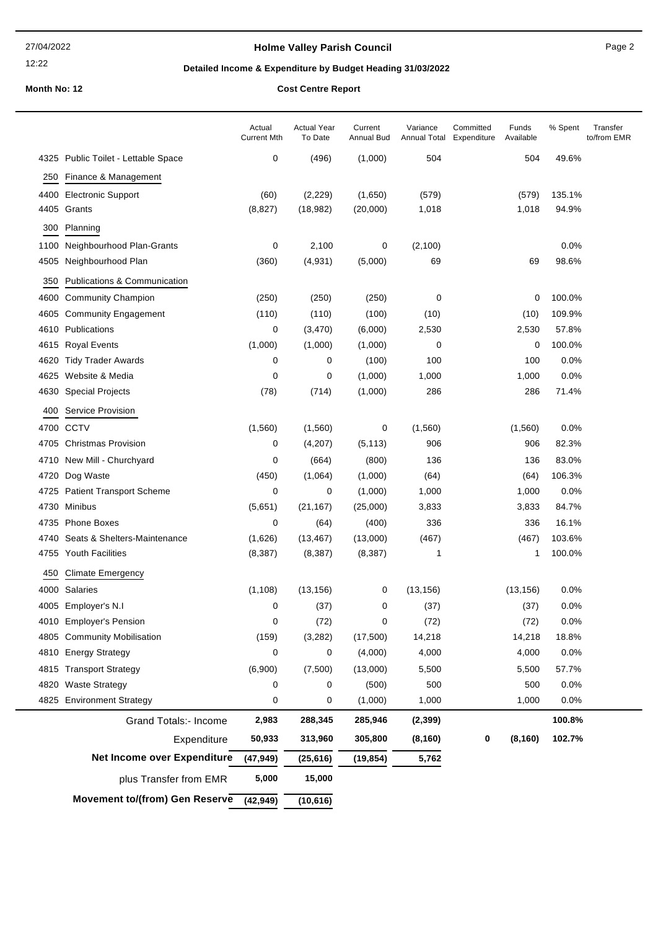## **Holme Valley Parish Council Page 2** Page 2

12:22

## **Detailed Income & Expenditure by Budget Heading 31/03/2022**

# **Month No: 12 Cost Centre Report**

| <b>COST Centre Report</b> |  |  |
|---------------------------|--|--|
|                           |  |  |

|      |                                     | Actual<br><b>Current Mth</b> | <b>Actual Year</b><br>To Date | Current<br>Annual Bud | Variance<br>Annual Total | Committed<br>Expenditure | Funds<br>Available | % Spent | Transfer<br>to/from EMR |
|------|-------------------------------------|------------------------------|-------------------------------|-----------------------|--------------------------|--------------------------|--------------------|---------|-------------------------|
|      | 4325 Public Toilet - Lettable Space | 0                            | (496)                         | (1,000)               | 504                      |                          | 504                | 49.6%   |                         |
| 250  | Finance & Management                |                              |                               |                       |                          |                          |                    |         |                         |
| 4400 | <b>Electronic Support</b>           | (60)                         | (2, 229)                      | (1,650)               | (579)                    |                          | (579)              | 135.1%  |                         |
| 4405 | Grants                              | (8,827)                      | (18, 982)                     | (20,000)              | 1,018                    |                          | 1,018              | 94.9%   |                         |
| 300  | Planning                            |                              |                               |                       |                          |                          |                    |         |                         |
| 1100 | Neighbourhood Plan-Grants           | 0                            | 2,100                         | 0                     | (2,100)                  |                          |                    | 0.0%    |                         |
| 4505 | Neighbourhood Plan                  | (360)                        | (4,931)                       | (5,000)               | 69                       |                          | 69                 | 98.6%   |                         |
| 350  | Publications & Communication        |                              |                               |                       |                          |                          |                    |         |                         |
| 4600 | <b>Community Champion</b>           | (250)                        | (250)                         | (250)                 | 0                        |                          | 0                  | 100.0%  |                         |
| 4605 | <b>Community Engagement</b>         | (110)                        | (110)                         | (100)                 | (10)                     |                          | (10)               | 109.9%  |                         |
| 4610 | Publications                        | 0                            | (3,470)                       | (6,000)               | 2,530                    |                          | 2,530              | 57.8%   |                         |
| 4615 | <b>Royal Events</b>                 | (1,000)                      | (1,000)                       | (1,000)               | 0                        |                          | 0                  | 100.0%  |                         |
| 4620 | <b>Tidy Trader Awards</b>           | 0                            | 0                             | (100)                 | 100                      |                          | 100                | 0.0%    |                         |
| 4625 | Website & Media                     | 0                            | 0                             | (1,000)               | 1,000                    |                          | 1,000              | 0.0%    |                         |
| 4630 | <b>Special Projects</b>             | (78)                         | (714)                         | (1,000)               | 286                      |                          | 286                | 71.4%   |                         |
| 400  | <b>Service Provision</b>            |                              |                               |                       |                          |                          |                    |         |                         |
| 4700 | <b>CCTV</b>                         | (1,560)                      | (1,560)                       | 0                     | (1,560)                  |                          | (1,560)            | 0.0%    |                         |
| 4705 | <b>Christmas Provision</b>          | 0                            | (4,207)                       | (5, 113)              | 906                      |                          | 906                | 82.3%   |                         |
|      | 4710 New Mill - Churchyard          | 0                            | (664)                         | (800)                 | 136                      |                          | 136                | 83.0%   |                         |
| 4720 | Dog Waste                           | (450)                        | (1,064)                       | (1,000)               | (64)                     |                          | (64)               | 106.3%  |                         |
| 4725 | <b>Patient Transport Scheme</b>     | 0                            | 0                             | (1,000)               | 1,000                    |                          | 1,000              | 0.0%    |                         |
| 4730 | Minibus                             | (5,651)                      | (21, 167)                     | (25,000)              | 3,833                    |                          | 3,833              | 84.7%   |                         |
|      | 4735 Phone Boxes                    | 0                            | (64)                          | (400)                 | 336                      |                          | 336                | 16.1%   |                         |
| 4740 | Seats & Shelters-Maintenance        | (1,626)                      | (13, 467)                     | (13,000)              | (467)                    |                          | (467)              | 103.6%  |                         |
|      | 4755 Youth Facilities               | (8,387)                      | (8, 387)                      | (8, 387)              | 1                        |                          | 1                  | 100.0%  |                         |
| 450  | <b>Climate Emergency</b>            |                              |                               |                       |                          |                          |                    |         |                         |
| 4000 | Salaries                            | (1, 108)                     | (13, 156)                     | 0                     | (13, 156)                |                          | (13, 156)          | 0.0%    |                         |
|      | 4005 Employer's N.I                 | 0                            | (37)                          | 0                     | (37)                     |                          | (37)               | 0.0%    |                         |
| 4010 | <b>Employer's Pension</b>           | 0                            | (72)                          | 0                     | (72)                     |                          | (72)               | 0.0%    |                         |
| 4805 | <b>Community Mobilisation</b>       | (159)                        | (3, 282)                      | (17,500)              | 14,218                   |                          | 14,218             | 18.8%   |                         |
| 4810 | <b>Energy Strategy</b>              | 0                            | 0                             | (4,000)               | 4,000                    |                          | 4,000              | 0.0%    |                         |
| 4815 | <b>Transport Strategy</b>           | (6,900)                      | (7,500)                       | (13,000)              | 5,500                    |                          | 5,500              | 57.7%   |                         |
| 4820 | <b>Waste Strategy</b>               | 0                            | 0                             | (500)                 | 500                      |                          | 500                | 0.0%    |                         |
| 4825 | <b>Environment Strategy</b>         | 0                            | 0                             | (1,000)               | 1,000                    |                          | 1,000              | 0.0%    |                         |
|      | <b>Grand Totals:- Income</b>        | 2,983                        | 288,345                       | 285,946               | (2, 399)                 |                          |                    | 100.8%  |                         |
|      | Expenditure                         | 50,933                       | 313,960                       | 305,800               | (8, 160)                 | 0                        | (8, 160)           | 102.7%  |                         |
|      | Net Income over Expenditure         | (47, 949)                    | (25, 616)                     | (19, 854)             | 5,762                    |                          |                    |         |                         |
|      | plus Transfer from EMR              | 5,000                        | 15,000                        |                       |                          |                          |                    |         |                         |
|      | Movement to/(from) Gen Reserve      | (42, 949)                    | (10, 616)                     |                       |                          |                          |                    |         |                         |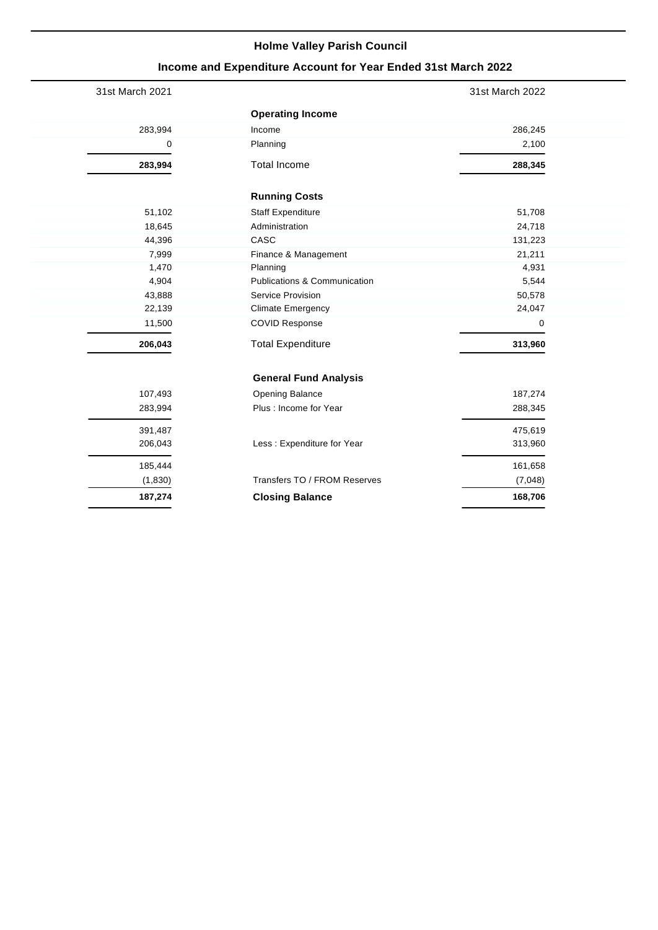# **Income and Expenditure Account for Year Ended 31st March 2022**

| 31st March 2021 |                              | 31st March 2022 |
|-----------------|------------------------------|-----------------|
|                 | <b>Operating Income</b>      |                 |
| 283,994         | Income                       | 286,245         |
| 0               | Planning                     | 2,100           |
| 283,994         | <b>Total Income</b>          | 288,345         |
|                 | <b>Running Costs</b>         |                 |
| 51,102          | <b>Staff Expenditure</b>     | 51,708          |
| 18,645          | Administration               | 24,718          |
| 44,396          | CASC                         | 131,223         |
| 7,999           | Finance & Management         | 21,211          |
| 1,470           | Planning                     | 4,931           |
| 4,904           | Publications & Communication | 5,544           |
| 43,888          | Service Provision            | 50,578          |
| 22,139          | <b>Climate Emergency</b>     | 24,047          |
| 11,500          | <b>COVID Response</b>        | 0               |
| 206,043         | <b>Total Expenditure</b>     | 313,960         |
|                 | <b>General Fund Analysis</b> |                 |
| 107,493         | <b>Opening Balance</b>       | 187,274         |
| 283,994         | Plus : Income for Year       | 288,345         |
| 391,487         |                              | 475,619         |
| 206,043         | Less : Expenditure for Year  | 313,960         |
| 185,444         |                              | 161,658         |
| (1,830)         | Transfers TO / FROM Reserves | (7,048)         |
| 187,274         | <b>Closing Balance</b>       | 168,706         |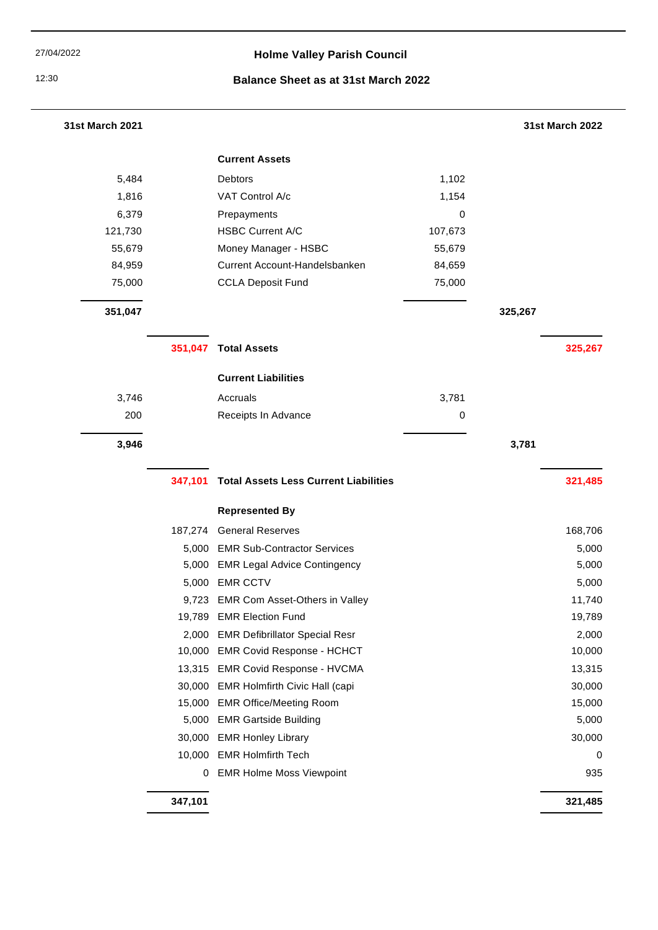# 27/04/2022 **Holme Valley Parish Council**

# 12:30 **Balance Sheet as at 31st March 2022**

| <b>31st March 2021</b> |         |                                              |         | <b>31st March 2022</b> |
|------------------------|---------|----------------------------------------------|---------|------------------------|
|                        |         | <b>Current Assets</b>                        |         |                        |
| 5,484                  |         | Debtors                                      | 1,102   |                        |
| 1,816                  |         | VAT Control A/c                              | 1,154   |                        |
| 6,379                  |         | Prepayments                                  | 0       |                        |
| 121,730                |         | <b>HSBC Current A/C</b>                      | 107,673 |                        |
| 55,679                 |         | Money Manager - HSBC                         | 55,679  |                        |
| 84,959                 |         | Current Account-Handelsbanken                | 84,659  |                        |
| 75,000                 |         | <b>CCLA Deposit Fund</b>                     | 75,000  |                        |
| 351,047                |         |                                              |         | 325,267                |
|                        | 351,047 | <b>Total Assets</b>                          |         | 325,267                |
|                        |         | <b>Current Liabilities</b>                   |         |                        |
| 3,746                  |         | Accruals                                     | 3,781   |                        |
| 200                    |         | Receipts In Advance                          | 0       |                        |
| 3,946                  |         |                                              |         | 3,781                  |
|                        |         |                                              |         |                        |
|                        | 347,101 | <b>Total Assets Less Current Liabilities</b> |         | 321,485                |
|                        |         | <b>Represented By</b>                        |         |                        |
|                        | 187,274 | <b>General Reserves</b>                      |         | 168,706                |
|                        | 5,000   | <b>EMR Sub-Contractor Services</b>           |         | 5,000                  |
|                        | 5,000   | <b>EMR Legal Advice Contingency</b>          |         | 5,000                  |
|                        | 5,000   | <b>EMR CCTV</b>                              |         | 5,000                  |
|                        |         | 9,723 EMR Com Asset-Others in Valley         |         | 11,740                 |
|                        |         | 19,789 EMR Election Fund                     |         | 19,789                 |
|                        |         | 2,000 EMR Defibrillator Special Resr         |         | 2,000                  |
|                        |         | 10,000 EMR Covid Response - HCHCT            |         | 10,000                 |
|                        |         | 13,315 EMR Covid Response - HVCMA            |         | 13,315                 |
|                        |         | 30,000 EMR Holmfirth Civic Hall (capi        |         | 30,000                 |
|                        |         | 15,000 EMR Office/Meeting Room               |         | 15,000                 |
|                        |         | 5,000 EMR Gartside Building                  |         | 5,000                  |
|                        | 30,000  | <b>EMR Honley Library</b>                    |         | 30,000                 |
|                        |         | 10,000 EMR Holmfirth Tech                    |         | $\pmb{0}$              |
|                        | 0       | <b>EMR Holme Moss Viewpoint</b>              |         | 935                    |
|                        | 347,101 |                                              |         | 321,485                |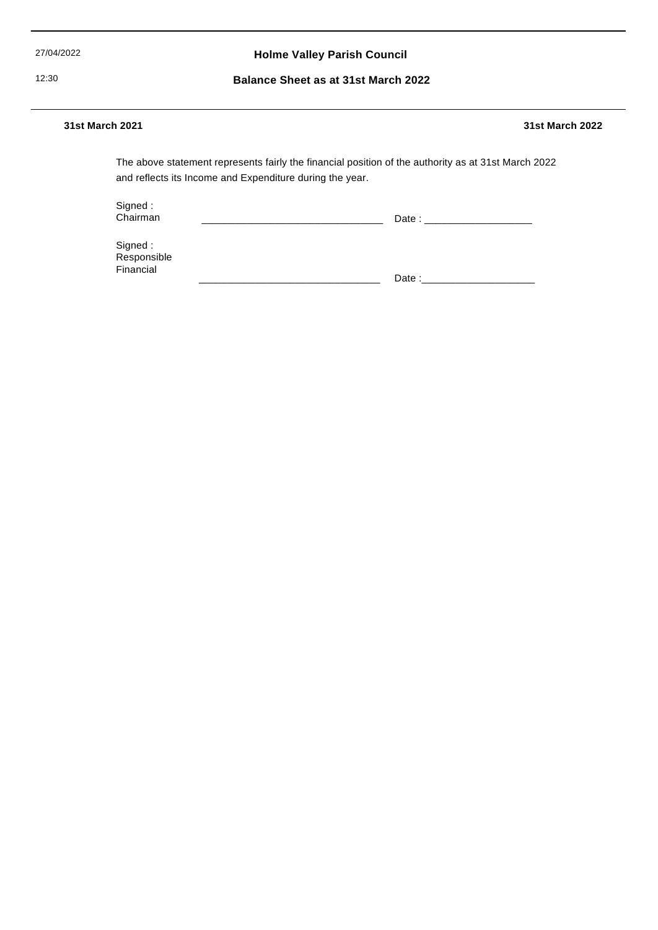27/04/2022 **Holme Valley Parish Council**

12:30 **Balance Sheet as at 31st March 2022**

#### **31st March 2021 31st March 2022**

and reflects its Income and Expenditure during the year. The above statement represents fairly the financial position of the authority as at 31st March 2022

Signed : Chairman

\_\_\_\_\_\_\_\_\_\_\_\_\_\_\_\_\_\_\_\_\_\_\_\_\_\_\_\_\_\_\_\_ Date : \_\_\_\_\_\_\_\_\_\_\_\_\_\_\_\_\_\_\_

Signed : Responsible Financial

\_\_\_\_\_\_\_\_\_\_\_\_\_\_\_\_\_\_\_\_\_\_\_\_\_\_\_\_\_\_\_\_ Date :\_\_\_\_\_\_\_\_\_\_\_\_\_\_\_\_\_\_\_\_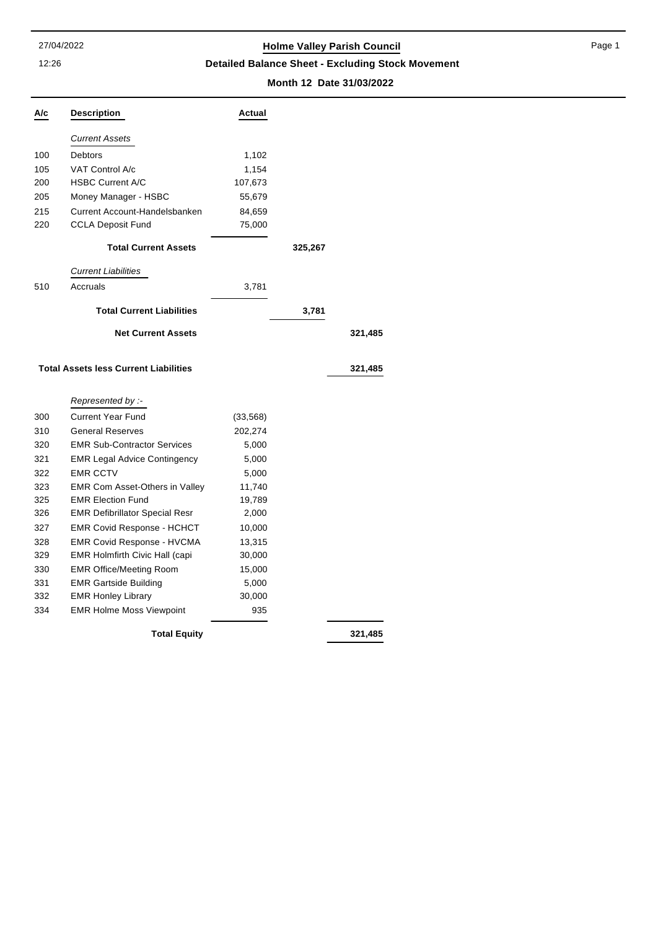12:26

# 27/04/2022 **Holme Valley Parish Council**

**Detailed Balance Sheet - Excluding Stock Movement**

# **Month 12 Date 31/03/2022**

| A/c | Description                                  | Actual    |         |         |
|-----|----------------------------------------------|-----------|---------|---------|
|     | <b>Current Assets</b>                        |           |         |         |
| 100 | Debtors                                      | 1,102     |         |         |
| 105 | <b>VAT Control A/c</b>                       | 1,154     |         |         |
| 200 | <b>HSBC Current A/C</b>                      | 107,673   |         |         |
| 205 | Money Manager - HSBC                         | 55,679    |         |         |
| 215 | Current Account-Handelsbanken                | 84,659    |         |         |
| 220 | <b>CCLA Deposit Fund</b>                     | 75,000    |         |         |
|     | <b>Total Current Assets</b>                  |           | 325,267 |         |
|     | <b>Current Liabilities</b>                   |           |         |         |
| 510 | Accruals                                     | 3,781     |         |         |
|     | <b>Total Current Liabilities</b>             |           | 3,781   |         |
|     | <b>Net Current Assets</b>                    |           |         | 321,485 |
|     | <b>Total Assets less Current Liabilities</b> |           |         | 321,485 |
|     | Represented by :-                            |           |         |         |
| 300 | <b>Current Year Fund</b>                     | (33, 568) |         |         |
| 310 | <b>General Reserves</b>                      | 202,274   |         |         |
| 320 | <b>EMR Sub-Contractor Services</b>           | 5,000     |         |         |
| 321 | <b>EMR Legal Advice Contingency</b>          | 5,000     |         |         |
| 322 | <b>EMR CCTV</b>                              | 5,000     |         |         |
| 323 | <b>EMR Com Asset-Others in Valley</b>        | 11,740    |         |         |
| 325 | <b>EMR Election Fund</b>                     | 19,789    |         |         |
| 326 | <b>EMR Defibrillator Special Resr</b>        | 2,000     |         |         |
| 327 | <b>EMR Covid Response - HCHCT</b>            | 10,000    |         |         |
| 328 | <b>EMR Covid Response - HVCMA</b>            | 13,315    |         |         |
| 329 | <b>EMR Holmfirth Civic Hall (capi</b>        | 30,000    |         |         |
| 330 | <b>EMR Office/Meeting Room</b>               | 15,000    |         |         |
| 331 | <b>EMR Gartside Building</b>                 | 5,000     |         |         |
| 332 | <b>EMR Honley Library</b>                    | 30,000    |         |         |
| 334 | <b>EMR Holme Moss Viewpoint</b>              | 935       |         |         |
|     | 321,485                                      |           |         |         |

Page 1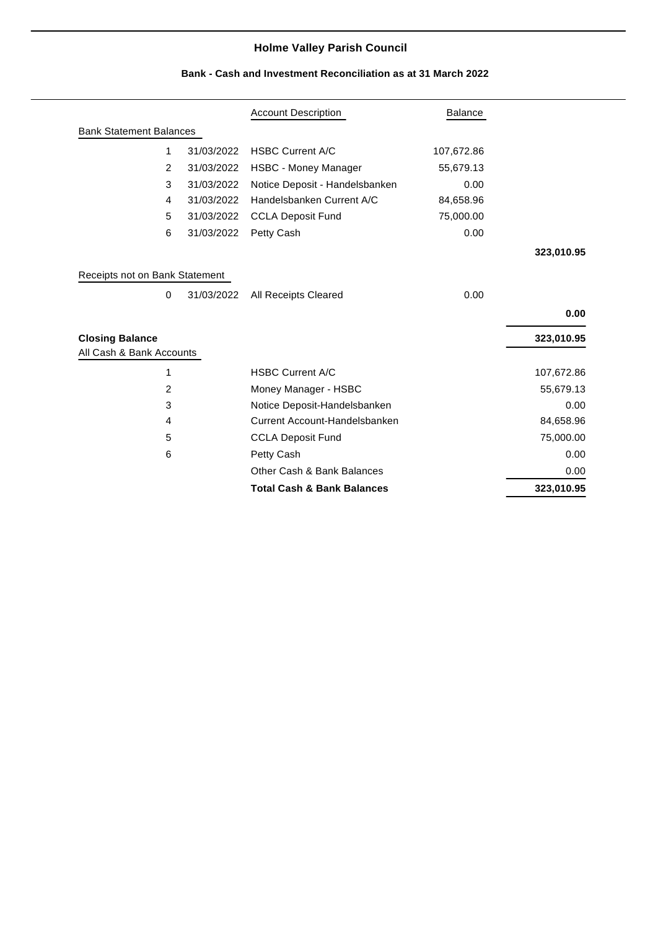|                                |                |            | <b>Account Description</b>     | <b>Balance</b> |                                                                                         |
|--------------------------------|----------------|------------|--------------------------------|----------------|-----------------------------------------------------------------------------------------|
| <b>Bank Statement Balances</b> |                |            |                                |                |                                                                                         |
|                                | $\mathbf{1}$   | 31/03/2022 | <b>HSBC Current A/C</b>        | 107,672.86     |                                                                                         |
|                                | 2              | 31/03/2022 | HSBC - Money Manager           | 55,679.13      |                                                                                         |
|                                | 3              | 31/03/2022 | Notice Deposit - Handelsbanken | 0.00           |                                                                                         |
|                                | 4              | 31/03/2022 | Handelsbanken Current A/C      | 84,658.96      |                                                                                         |
|                                | 5              | 31/03/2022 | <b>CCLA Deposit Fund</b>       | 75,000.00      |                                                                                         |
|                                | 6              | 31/03/2022 | Petty Cash                     | 0.00           |                                                                                         |
|                                |                |            |                                |                | 323,010.95                                                                              |
| Receipts not on Bank Statement |                |            |                                |                |                                                                                         |
|                                | 0              | 31/03/2022 | All Receipts Cleared           | 0.00           |                                                                                         |
|                                |                |            |                                |                | 0.00                                                                                    |
| <b>Closing Balance</b>         |                |            |                                |                |                                                                                         |
|                                |                |            |                                |                |                                                                                         |
| All Cash & Bank Accounts       |                |            |                                |                |                                                                                         |
|                                | 1              |            | <b>HSBC Current A/C</b>        |                |                                                                                         |
|                                | $\overline{2}$ |            | Money Manager - HSBC           |                |                                                                                         |
|                                | 3              |            | Notice Deposit-Handelsbanken   |                |                                                                                         |
|                                | 4              |            | Current Account-Handelsbanken  |                |                                                                                         |
|                                | 5              |            | <b>CCLA Deposit Fund</b>       |                |                                                                                         |
|                                | 6              |            | Petty Cash                     |                |                                                                                         |
|                                |                |            | Other Cash & Bank Balances     |                | 323,010.95<br>107,672.86<br>55,679.13<br>0.00<br>84,658.96<br>75,000.00<br>0.00<br>0.00 |

# **Bank - Cash and Investment Reconciliation as at 31 March 2022**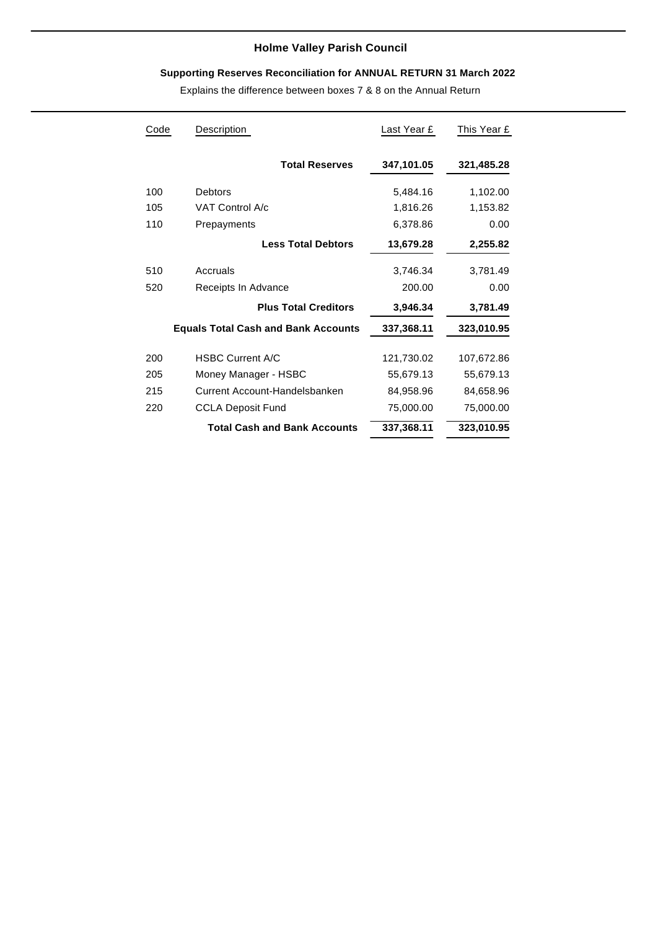# **Supporting Reserves Reconciliation for ANNUAL RETURN 31 March 2022**

Explains the difference between boxes 7 & 8 on the Annual Return

| Code | Description                                | Last Year £ | This Year £ |
|------|--------------------------------------------|-------------|-------------|
|      | <b>Total Reserves</b>                      | 347,101.05  | 321,485.28  |
| 100  | Debtors                                    | 5,484.16    | 1,102.00    |
| 105  | VAT Control A/c                            | 1,816.26    | 1,153.82    |
| 110  | Prepayments                                | 6,378.86    | 0.00        |
|      | <b>Less Total Debtors</b>                  | 13,679.28   | 2,255.82    |
| 510  | Accruals                                   | 3,746.34    | 3,781.49    |
| 520  | Receipts In Advance                        | 200.00      | 0.00        |
|      | <b>Plus Total Creditors</b>                | 3,946.34    | 3,781.49    |
|      | <b>Equals Total Cash and Bank Accounts</b> | 337,368.11  | 323,010.95  |
| 200  | <b>HSBC Current A/C</b>                    | 121,730.02  | 107,672.86  |
| 205  | Money Manager - HSBC                       | 55,679.13   | 55,679.13   |
| 215  | Current Account-Handelsbanken              | 84,958.96   | 84,658.96   |
| 220  | <b>CCLA Deposit Fund</b>                   | 75,000.00   | 75,000.00   |
|      | <b>Total Cash and Bank Accounts</b>        | 337,368.11  | 323,010.95  |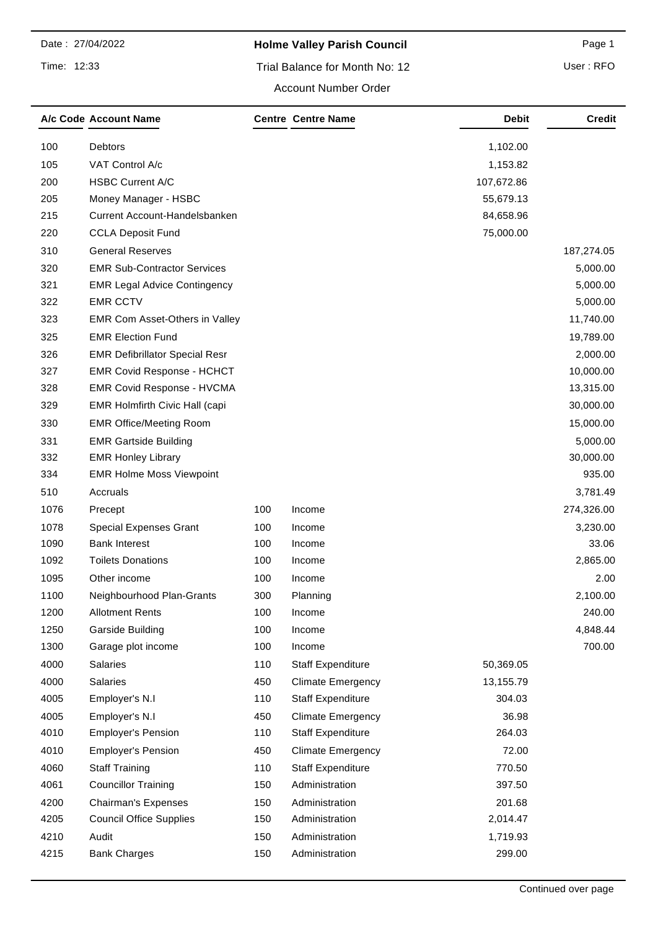Time: 12:33

# **Holme Valley Parish Council Page 1** Page 1

User : RFO

#### Account Number Order

|      | A/c Code Account Name                 |     | <b>Centre Centre Name</b> | Debit      | Credit     |
|------|---------------------------------------|-----|---------------------------|------------|------------|
| 100  | Debtors                               |     |                           | 1,102.00   |            |
| 105  | VAT Control A/c                       |     |                           | 1,153.82   |            |
| 200  | <b>HSBC Current A/C</b>               |     |                           | 107,672.86 |            |
| 205  | Money Manager - HSBC                  |     |                           | 55,679.13  |            |
| 215  | Current Account-Handelsbanken         |     |                           | 84,658.96  |            |
| 220  | <b>CCLA Deposit Fund</b>              |     |                           | 75,000.00  |            |
| 310  | <b>General Reserves</b>               |     |                           |            | 187,274.05 |
| 320  | <b>EMR Sub-Contractor Services</b>    |     |                           |            | 5,000.00   |
| 321  | <b>EMR Legal Advice Contingency</b>   |     |                           |            | 5,000.00   |
| 322  | <b>EMR CCTV</b>                       |     |                           |            | 5,000.00   |
| 323  | EMR Com Asset-Others in Valley        |     |                           |            | 11,740.00  |
| 325  | <b>EMR Election Fund</b>              |     |                           |            | 19,789.00  |
| 326  | <b>EMR Defibrillator Special Resr</b> |     |                           |            | 2,000.00   |
| 327  | <b>EMR Covid Response - HCHCT</b>     |     |                           |            | 10,000.00  |
| 328  | <b>EMR Covid Response - HVCMA</b>     |     |                           |            | 13,315.00  |
| 329  | EMR Holmfirth Civic Hall (capi        |     |                           |            | 30,000.00  |
| 330  | <b>EMR Office/Meeting Room</b>        |     |                           |            | 15,000.00  |
| 331  | <b>EMR Gartside Building</b>          |     |                           |            | 5,000.00   |
| 332  | <b>EMR Honley Library</b>             |     |                           |            | 30,000.00  |
| 334  | <b>EMR Holme Moss Viewpoint</b>       |     |                           |            | 935.00     |
| 510  | Accruals                              |     |                           |            | 3,781.49   |
| 1076 | Precept                               | 100 | Income                    |            | 274,326.00 |
| 1078 | <b>Special Expenses Grant</b>         | 100 | Income                    |            | 3,230.00   |
| 1090 | <b>Bank Interest</b>                  | 100 | Income                    |            | 33.06      |
| 1092 | <b>Toilets Donations</b>              | 100 | Income                    |            | 2,865.00   |
| 1095 | Other income                          | 100 | Income                    |            | 2.00       |
| 1100 | Neighbourhood Plan-Grants             | 300 | Planning                  |            | 2,100.00   |
| 1200 | <b>Allotment Rents</b>                | 100 | Income                    |            | 240.00     |
| 1250 | Garside Building                      | 100 | Income                    |            | 4,848.44   |
| 1300 | Garage plot income                    | 100 | Income                    |            | 700.00     |
| 4000 | <b>Salaries</b>                       | 110 | <b>Staff Expenditure</b>  | 50,369.05  |            |
| 4000 | Salaries                              | 450 | <b>Climate Emergency</b>  | 13,155.79  |            |
| 4005 | Employer's N.I                        | 110 | <b>Staff Expenditure</b>  | 304.03     |            |
| 4005 | Employer's N.I                        | 450 | <b>Climate Emergency</b>  | 36.98      |            |
| 4010 | <b>Employer's Pension</b>             | 110 | <b>Staff Expenditure</b>  | 264.03     |            |
| 4010 | <b>Employer's Pension</b>             | 450 | <b>Climate Emergency</b>  | 72.00      |            |
| 4060 | <b>Staff Training</b>                 | 110 | <b>Staff Expenditure</b>  | 770.50     |            |
| 4061 | <b>Councillor Training</b>            | 150 | Administration            | 397.50     |            |
| 4200 | <b>Chairman's Expenses</b>            | 150 | Administration            | 201.68     |            |
| 4205 | <b>Council Office Supplies</b>        | 150 | Administration            | 2,014.47   |            |
| 4210 | Audit                                 | 150 | Administration            | 1,719.93   |            |
| 4215 | <b>Bank Charges</b>                   | 150 | Administration            | 299.00     |            |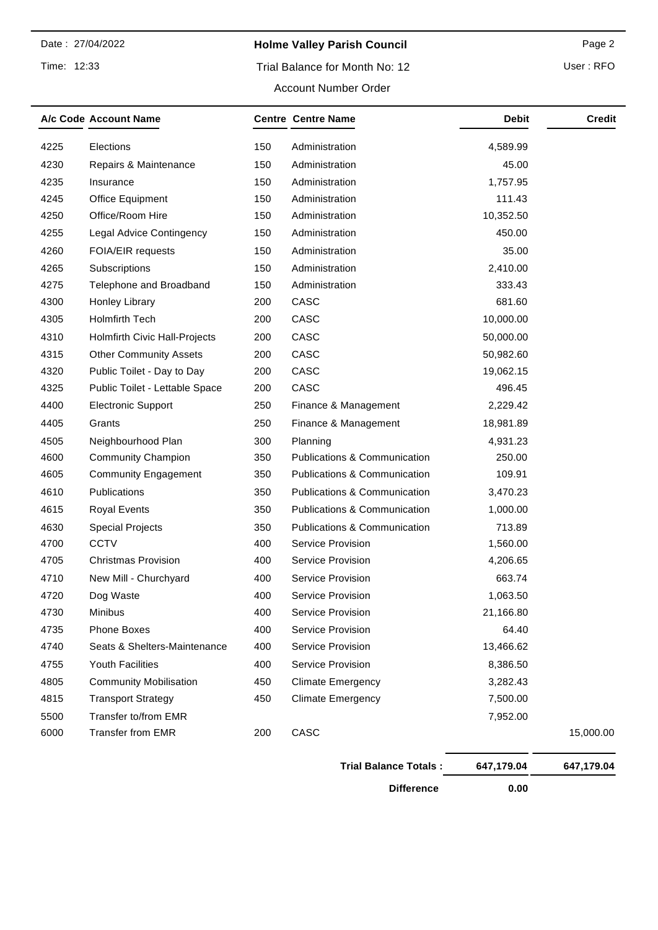Time: 12:33

# **Holme Valley Parish Council Page 2** Page 2

# Trial Balance for Month No: 12

|  |  |  | P |
|--|--|--|---|
|  |  |  |   |

|      | A/c Code Account Name           |     | <b>Centre Centre Name</b>    | <b>Debit</b> | <b>Credit</b> |
|------|---------------------------------|-----|------------------------------|--------------|---------------|
| 4225 | Elections                       | 150 | Administration               | 4,589.99     |               |
| 4230 | Repairs & Maintenance           | 150 | Administration               | 45.00        |               |
| 4235 | Insurance                       | 150 | Administration               | 1,757.95     |               |
| 4245 | Office Equipment                | 150 | Administration               | 111.43       |               |
| 4250 | Office/Room Hire                | 150 | Administration               | 10,352.50    |               |
| 4255 | <b>Legal Advice Contingency</b> | 150 | Administration               | 450.00       |               |
| 4260 | FOIA/EIR requests               | 150 | Administration               | 35.00        |               |
| 4265 | Subscriptions                   | 150 | Administration               | 2,410.00     |               |
| 4275 | Telephone and Broadband         | 150 | Administration               | 333.43       |               |
| 4300 | Honley Library                  | 200 | CASC                         | 681.60       |               |
| 4305 | <b>Holmfirth Tech</b>           | 200 | CASC                         | 10,000.00    |               |
| 4310 | Holmfirth Civic Hall-Projects   | 200 | CASC                         | 50,000.00    |               |
| 4315 | <b>Other Community Assets</b>   | 200 | CASC                         | 50,982.60    |               |
| 4320 | Public Toilet - Day to Day      | 200 | CASC                         | 19,062.15    |               |
| 4325 | Public Toilet - Lettable Space  | 200 | CASC                         | 496.45       |               |
| 4400 | <b>Electronic Support</b>       | 250 | Finance & Management         | 2,229.42     |               |
| 4405 | Grants                          | 250 | Finance & Management         | 18,981.89    |               |
| 4505 | Neighbourhood Plan              | 300 | Planning                     | 4,931.23     |               |
| 4600 | <b>Community Champion</b>       | 350 | Publications & Communication | 250.00       |               |
| 4605 | Community Engagement            | 350 | Publications & Communication | 109.91       |               |
| 4610 | Publications                    | 350 | Publications & Communication | 3,470.23     |               |
| 4615 | <b>Royal Events</b>             | 350 | Publications & Communication | 1,000.00     |               |
| 4630 | <b>Special Projects</b>         | 350 | Publications & Communication | 713.89       |               |
| 4700 | <b>CCTV</b>                     | 400 | Service Provision            | 1,560.00     |               |
| 4705 | <b>Christmas Provision</b>      | 400 | Service Provision            | 4,206.65     |               |
| 4710 | New Mill - Churchyard           | 400 | Service Provision            | 663.74       |               |
| 4720 | Dog Waste                       | 400 | Service Provision            | 1,063.50     |               |
| 4730 | Minibus                         | 400 | Service Provision            | 21,166.80    |               |
| 4735 | Phone Boxes                     | 400 | Service Provision            | 64.40        |               |
| 4740 | Seats & Shelters-Maintenance    | 400 | Service Provision            | 13,466.62    |               |
| 4755 | Youth Facilities                | 400 | Service Provision            | 8,386.50     |               |
| 4805 | <b>Community Mobilisation</b>   | 450 | <b>Climate Emergency</b>     | 3,282.43     |               |
| 4815 | <b>Transport Strategy</b>       | 450 | <b>Climate Emergency</b>     | 7,500.00     |               |
| 5500 | Transfer to/from EMR            |     |                              | 7,952.00     |               |
| 6000 | <b>Transfer from EMR</b>        | 200 | CASC                         |              | 15,000.00     |

| <b>Trial Balance Totals:</b> | 647,179.04 | 647,179.04 |
|------------------------------|------------|------------|
| <b>Difference</b>            | 0.00       |            |